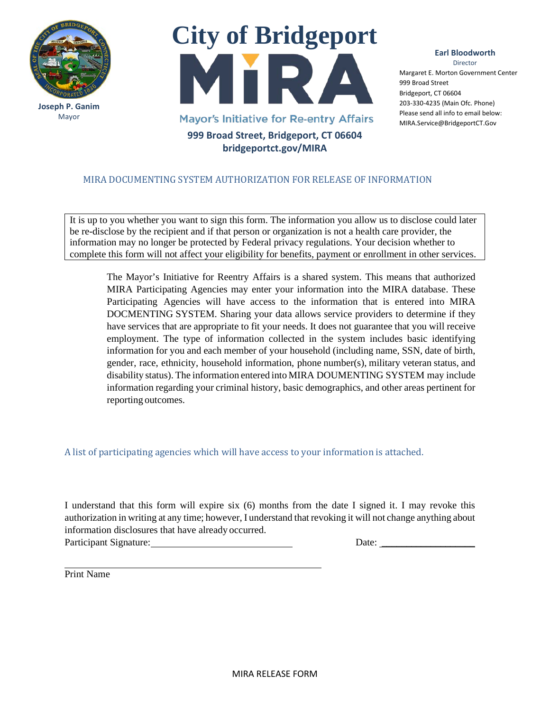

**Joseph P. Ganim** Mayor



## **Earl Bloodworth** Director

Margaret E. Morton Government Center 999 Broad Street Bridgeport, CT 06604 203-330-4235 (Main Ofc. Phone) Please send all info to email below: MIRA.Service@BridgeportCT.Gov

## MIRA DOCUMENTING SYSTEM AUTHORIZATION FOR RELEASE OF INFORMATION

It is up to you whether you want to sign this form. The information you allow us to disclose could later be re-disclose by the recipient and if that person or organization is not a health care provider, the information may no longer be protected by Federal privacy regulations. Your decision whether to complete this form will not affect your eligibility for benefits, payment or enrollment in other services.

The Mayor's Initiative for Reentry Affairs is a shared system. This means that authorized MIRA Participating Agencies may enter your information into the MIRA database. These Participating Agencies will have access to the information that is entered into MIRA DOCMENTING SYSTEM. Sharing your data allows service providers to determine if they have services that are appropriate to fit your needs. It does not guarantee that you will receive employment. The type of information collected in the system includes basic identifying information for you and each member of your household (including name, SSN, date of birth, gender, race, ethnicity, household information, phone number(s), military veteran status, and disability status). The information entered into MIRA DOUMENTING SYSTEM may include information regarding your criminal history, basic demographics, and other areas pertinent for reporting outcomes.

A list of participating agencies which will have access to your information is attached.

I understand that this form will expire six (6) months from the date I signed it. I may revoke this authorization in writing at any time; however, I understand that revoking it will not change anything about information disclosures that have already occurred. Participant Signature: Date: \_\_\_\_\_\_\_\_\_\_\_\_\_\_\_\_\_\_\_

Print Name